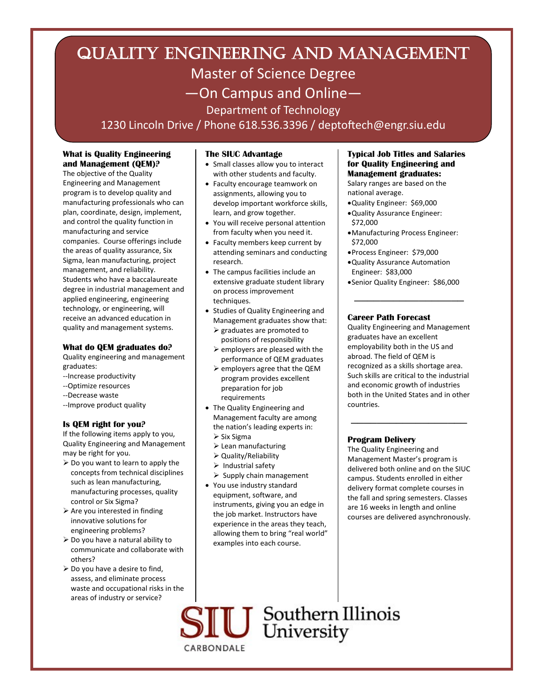# QUALITY ENGINEERING and MANAGEMENT Master of Science Degree —On Campus and Online— Department of Technology

1230 Lincoln Drive / Phone 618.536.3396 / deptoftech@engr.siu.edu

# **What is Quality Engineering and Management (QEM)?**

The objective of the Quality Engineering and Management program is to develop quality and manufacturing professionals who can plan, coordinate, design, implement, and control the quality function in manufacturing and service companies. Course offerings include the areas of quality assurance, Six Sigma, lean manufacturing, project management, and reliability. Students who have a baccalaureate degree in industrial management and applied engineering, engineering technology, or engineering, will receive an advanced education in quality and management systems.

## **What do QEM graduates do?**

Quality engineering and management graduates:

- --Increase productivity
- --Optimize resources
- --Decrease waste
- --Improve product quality

# **Is QEM right for you?**

If the following items apply to you, Quality Engineering and Management may be right for you.

- $\triangleright$  Do you want to learn to apply the concepts from technical disciplines such as lean manufacturing, manufacturing processes, quality control or Six Sigma?
- $\triangleright$  Are you interested in finding innovative solutions for engineering problems?
- $\triangleright$  Do you have a natural ability to communicate and collaborate with others?
- $\triangleright$  Do you have a desire to find, assess, and eliminate process waste and occupational risks in the areas of industry or service?

## **The SIUC Advantage**

- Small classes allow you to interact with other students and faculty.
- Faculty encourage teamwork on assignments, allowing you to develop important workforce skills, learn, and grow together.
- You will receive personal attention from faculty when you need it.
- Faculty members keep current by attending seminars and conducting research.
- The campus facilities include an extensive graduate student library on process improvement techniques.
- Studies of Quality Engineering and Management graduates show that:
	- $\triangleright$  graduates are promoted to positions of responsibility
	- $\triangleright$  employers are pleased with the performance of QEM graduates
	- $\triangleright$  employers agree that the QEM program provides excellent preparation for job requirements
- The Quality Engineering and Management faculty are among the nation's leading experts in:  $\triangleright$  Six Sigma
	- $\blacktriangleright$  Lean manufacturing
	- Quality/Reliability
	- $\triangleright$  Industrial safety
	- $\triangleright$  Supply chain management
- You use industry standard equipment, software, and instruments, giving you an edge in the job market. Instructors have experience in the areas they teach, allowing them to bring "real world" examples into each course.

#### **Typical Job Titles and Salaries for Quality Engineering and Management graduates:**

Salary ranges are based on the national average.

- Quality Engineer: \$69,000
- Quality Assurance Engineer: \$72,000
- Manufacturing Process Engineer: \$72,000
- Process Engineer: \$79,000
- Quality Assurance Automation Engineer: \$83,000
- Senior Quality Engineer: \$86,000

\_\_\_\_\_\_\_\_\_\_\_\_\_\_\_\_\_

# **Career Path Forecast**

Quality Engineering and Management graduates have an excellent employability both in the US and abroad. The field of QEM is recognized as a skills shortage area. Such skills are critical to the industrial and economic growth of industries both in the United States and in other countries.

 $\overline{\phantom{a}}$  , where  $\overline{\phantom{a}}$ 

# **Program Delivery**

The Quality Engineering and Management Master's program is delivered both online and on the SIUC campus. Students enrolled in either delivery format complete courses in the fall and spring semesters. Classes are 16 weeks in length and online courses are delivered asynchronously.

**IU** Southern Illinois CARBONDALE